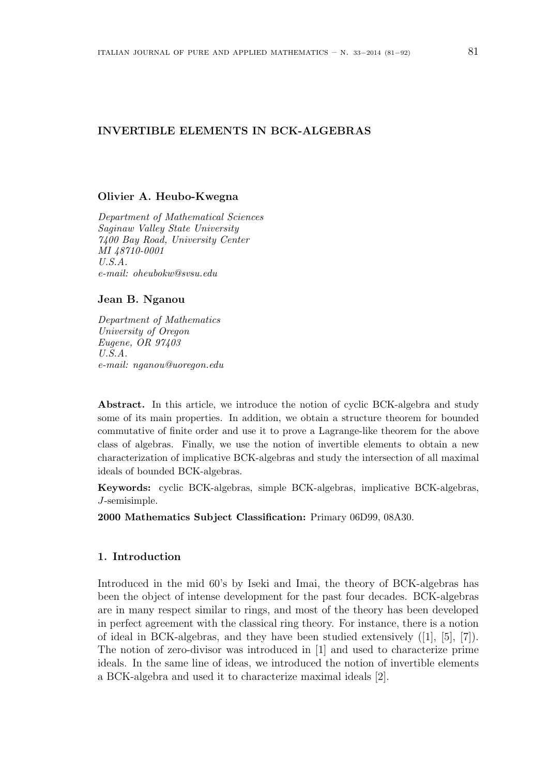# INVERTIBLE ELEMENTS IN BCK-ALGEBRAS

## Olivier A. Heubo-Kwegna

Department of Mathematical Sciences Saginaw Valley State University 7400 Bay Road, University Center MI 48710-0001 U.S.A. e-mail: oheubokw@svsu.edu

### Jean B. Nganou

Department of Mathematics University of Oregon Eugene, OR 97403 U.S.A. e-mail: nganou@uoregon.edu

Abstract. In this article, we introduce the notion of cyclic BCK-algebra and study some of its main properties. In addition, we obtain a structure theorem for bounded commutative of finite order and use it to prove a Lagrange-like theorem for the above class of algebras. Finally, we use the notion of invertible elements to obtain a new characterization of implicative BCK-algebras and study the intersection of all maximal ideals of bounded BCK-algebras.

Keywords: cyclic BCK-algebras, simple BCK-algebras, implicative BCK-algebras, J-semisimple.

2000 Mathematics Subject Classification: Primary 06D99, 08A30.

### 1. Introduction

Introduced in the mid 60's by Iseki and Imai, the theory of BCK-algebras has been the object of intense development for the past four decades. BCK-algebras are in many respect similar to rings, and most of the theory has been developed in perfect agreement with the classical ring theory. For instance, there is a notion of ideal in BCK-algebras, and they have been studied extensively ([1], [5], [7]). The notion of zero-divisor was introduced in [1] and used to characterize prime ideals. In the same line of ideas, we introduced the notion of invertible elements a BCK-algebra and used it to characterize maximal ideals [2].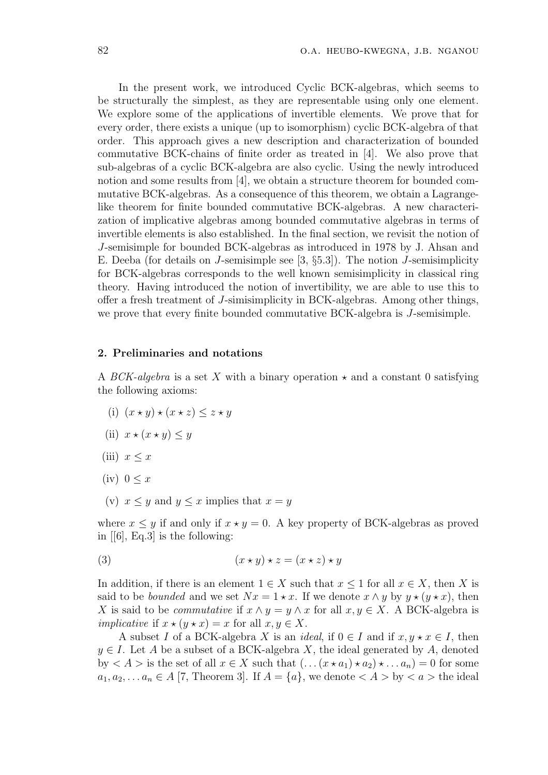In the present work, we introduced Cyclic BCK-algebras, which seems to be structurally the simplest, as they are representable using only one element. We explore some of the applications of invertible elements. We prove that for every order, there exists a unique (up to isomorphism) cyclic BCK-algebra of that order. This approach gives a new description and characterization of bounded commutative BCK-chains of finite order as treated in [4]. We also prove that sub-algebras of a cyclic BCK-algebra are also cyclic. Using the newly introduced notion and some results from [4], we obtain a structure theorem for bounded commutative BCK-algebras. As a consequence of this theorem, we obtain a Lagrangelike theorem for finite bounded commutative BCK-algebras. A new characterization of implicative algebras among bounded commutative algebras in terms of invertible elements is also established. In the final section, we revisit the notion of J-semisimple for bounded BCK-algebras as introduced in 1978 by J. Ahsan and E. Deeba (for details on J-semisimple see  $[3, \S 5.3]$ ). The notion J-semisimplicity for BCK-algebras corresponds to the well known semisimplicity in classical ring theory. Having introduced the notion of invertibility, we are able to use this to offer a fresh treatment of J-simisimplicity in BCK-algebras. Among other things, we prove that every finite bounded commutative BCK-algebra is J-semisimple.

#### 2. Preliminaries and notations

A BCK-algebra is a set X with a binary operation  $\star$  and a constant 0 satisfying the following axioms:

- (i)  $(x \star y) \star (x \star z) \leq z \star y$
- (ii)  $x \star (x \star y) \leq y$
- (iii)  $x \leq x$
- $(iv)$  0  $\lt x$
- (v)  $x \leq y$  and  $y \leq x$  implies that  $x = y$

where  $x \leq y$  if and only if  $x \star y = 0$ . A key property of BCK-algebras as proved in [[6], Eq.3] is the following:

$$
(3) \qquad \qquad (x \star y) \star z = (x \star z) \star y
$$

In addition, if there is an element  $1 \in X$  such that  $x \leq 1$  for all  $x \in X$ , then X is said to be *bounded* and we set  $Nx = 1 \star x$ . If we denote  $x \wedge y$  by  $y \star (y \star x)$ , then X is said to be *commutative* if  $x \wedge y = y \wedge x$  for all  $x, y \in X$ . A BCK-algebra is *implicative* if  $x \star (y \star x) = x$  for all  $x, y \in X$ .

A subset I of a BCK-algebra X is an *ideal*, if  $0 \in I$  and if  $x, y \star x \in I$ , then  $y \in I$ . Let A be a subset of a BCK-algebra X, the ideal generated by A, denoted by  $\langle A \rangle$  is the set of all  $x \in X$  such that  $(x \star a_1) \star a_2 \star \ldots a_n = 0$  for some  $a_1, a_2, \ldots, a_n \in A$  [7, Theorem 3]. If  $A = \{a\}$ , we denote  $\langle A \rangle$  by  $\langle a \rangle$  the ideal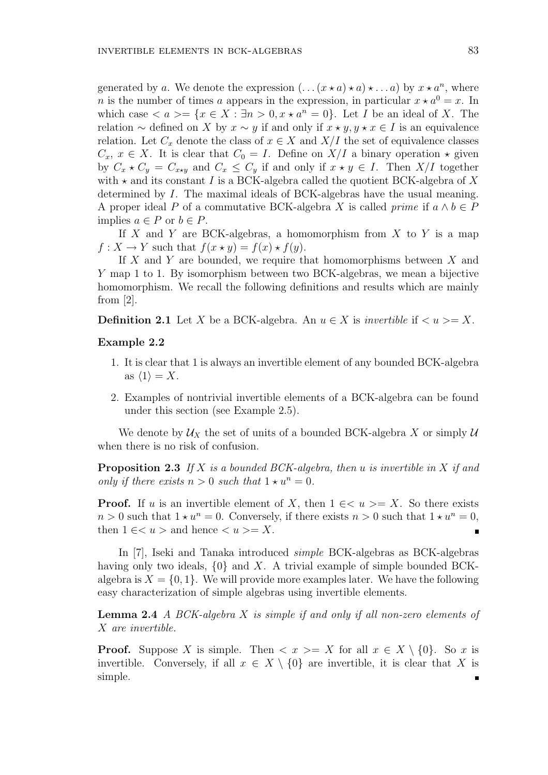generated by a. We denote the expression  $(\ldots (x \star a) \star a) \star \ldots a$  by  $x \star a^n$ , where n is the number of times a appears in the expression, in particular  $x \star a^0 = x$ . In which case  $\langle a \rangle = \{x \in X : \exists n > 0, x \star a^n = 0\}$ . Let I be an ideal of X. The relation  $\sim$  defined on X by  $x \sim y$  if and only if  $x \star y, y \star x \in I$  is an equivalence relation. Let  $C_x$  denote the class of  $x \in X$  and  $X/I$  the set of equivalence classes  $C_x, x \in X$ . It is clear that  $C_0 = I$ . Define on  $X/I$  a binary operation  $\star$  given by  $C_x \star C_y = C_{x \star y}$  and  $C_x \leq C_y$  if and only if  $x \star y \in I$ . Then  $X/I$  together with  $\star$  and its constant I is a BCK-algebra called the quotient BCK-algebra of X determined by I. The maximal ideals of BCK-algebras have the usual meaning. A proper ideal P of a commutative BCK-algebra X is called *prime* if  $a \wedge b \in P$ implies  $a \in P$  or  $b \in P$ .

If X and Y are BCK-algebras, a homomorphism from X to Y is a map  $f: X \to Y$  such that  $f(x \star y) = f(x) \star f(y)$ .

If  $X$  and  $Y$  are bounded, we require that homomorphisms between  $X$  and Y map 1 to 1. By isomorphism between two BCK-algebras, we mean a bijective homomorphism. We recall the following definitions and results which are mainly from [2].

**Definition 2.1** Let X be a BCK-algebra. An  $u \in X$  is invertible if  $\langle u \rangle = X$ .

# Example 2.2

- 1. It is clear that 1 is always an invertible element of any bounded BCK-algebra as  $\langle 1 \rangle = X$ .
- 2. Examples of nontrivial invertible elements of a BCK-algebra can be found under this section (see Example 2.5).

We denote by  $\mathcal{U}_X$  the set of units of a bounded BCK-algebra X or simply  $\mathcal{U}$ when there is no risk of confusion.

**Proposition 2.3** If X is a bounded BCK-algebra, then u is invertible in X if and only if there exists  $n > 0$  such that  $1 \star u^n = 0$ .

**Proof.** If u is an invertible element of X, then  $1 \in \{1, 2, \ldots\}$  So there exists  $n > 0$  such that  $1 \star u^n = 0$ . Conversely, if there exists  $n > 0$  such that  $1 \star u^n = 0$ , then  $1 \leq u >$  and hence  $\leq u > = X$ .

In [7], Iseki and Tanaka introduced simple BCK-algebras as BCK-algebras having only two ideals,  $\{0\}$  and X. A trivial example of simple bounded BCKalgebra is  $X = \{0, 1\}$ . We will provide more examples later. We have the following easy characterization of simple algebras using invertible elements.

**Lemma 2.4** A BCK-algebra X is simple if and only if all non-zero elements of X are invertible.

**Proof.** Suppose X is simple. Then  $\langle x \rangle = X$  for all  $x \in X \setminus \{0\}$ . So x is invertible. Conversely, if all  $x \in X \setminus \{0\}$  are invertible, it is clear that X is simple. $\blacksquare$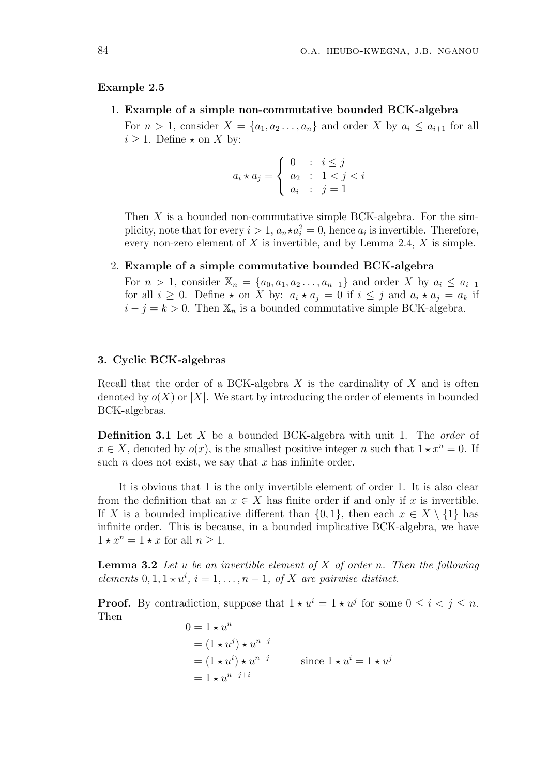#### Example 2.5

#### 1. Example of a simple non-commutative bounded BCK-algebra

For  $n > 1$ , consider  $X = \{a_1, a_2, \ldots, a_n\}$  and order X by  $a_i \le a_{i+1}$  for all  $i \geq 1$ . Define  $\star$  on X by:

$$
a_i \star a_j = \begin{cases} 0 & \text{: } i \leq j \\ a_2 & \text{: } 1 < j < i \\ a_i & \text{: } j = 1 \end{cases}
$$

Then  $X$  is a bounded non-commutative simple BCK-algebra. For the simplicity, note that for every  $i > 1$ ,  $a_n \star a_i^2 = 0$ , hence  $a_i$  is invertible. Therefore, every non-zero element of  $X$  is invertible, and by Lemma 2.4,  $X$  is simple.

### 2. Example of a simple commutative bounded BCK-algebra

For  $n > 1$ , consider  $\mathbb{X}_n = \{a_0, a_1, a_2 \ldots, a_{n-1}\}\$  and order X by  $a_i \leq a_{i+1}$ for all  $i \geq 0$ . Define  $\star$  on X by:  $a_i \star a_j = 0$  if  $i \leq j$  and  $a_i \star a_j = a_k$  if  $i - j = k > 0$ . Then  $\mathbb{X}_n$  is a bounded commutative simple BCK-algebra.

# 3. Cyclic BCK-algebras

Recall that the order of a BCK-algebra  $X$  is the cardinality of  $X$  and is often denoted by  $o(X)$  or |X|. We start by introducing the order of elements in bounded BCK-algebras.

**Definition 3.1** Let X be a bounded BCK-algebra with unit 1. The *order* of  $x \in X$ , denoted by  $o(x)$ , is the smallest positive integer n such that  $1 \star x^n = 0$ . If such *n* does not exist, we say that  $x$  has infinite order.

It is obvious that 1 is the only invertible element of order 1. It is also clear from the definition that an  $x \in X$  has finite order if and only if x is invertible. If X is a bounded implicative different than  $\{0,1\}$ , then each  $x \in X \setminus \{1\}$  has infinite order. This is because, in a bounded implicative BCK-algebra, we have  $1 \star x^n = 1 \star x$  for all  $n > 1$ .

**Lemma 3.2** Let u be an invertible element of  $X$  of order n. Then the following elements  $0, 1, 1 \star u^i$ ,  $i = 1, \ldots, n - 1$ , of X are pairwise distinct.

**Proof.** By contradiction, suppose that  $1 \star u^i = 1 \star u^j$  for some  $0 \leq i \leq j \leq n$ . Then

$$
0 = 1 \star u^n
$$
  
=  $(1 \star u^j) \star u^{n-j}$   
=  $(1 \star u^i) \star u^{n-j}$  since  $1 \star u^i = 1 \star u^j$   
=  $1 \star u^{n-j+i}$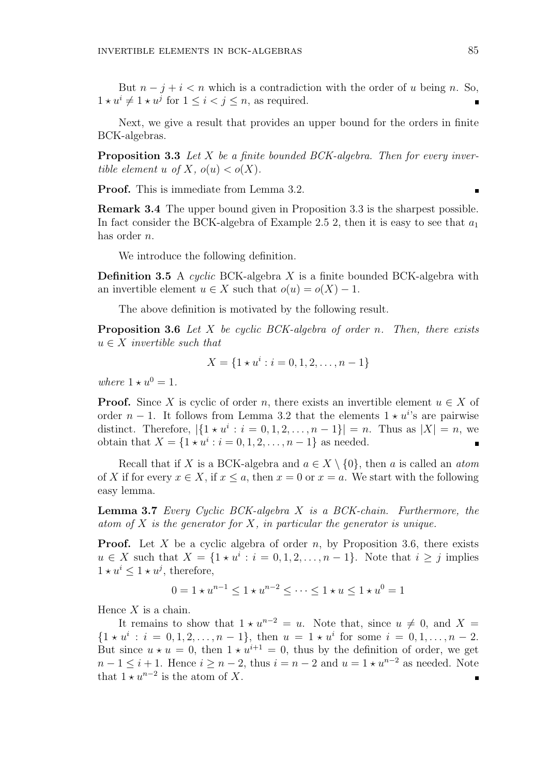But  $n - j + i < n$  which is a contradiction with the order of u being n. So,  $1 \star u^i \neq 1 \star u^j$  for  $1 \leq i < j \leq n$ , as required.

Next, we give a result that provides an upper bound for the orders in finite BCK-algebras.

**Proposition 3.3** Let  $X$  be a finite bounded BCK-algebra. Then for every invertible element u of X,  $o(u) < o(X)$ .

Proof. This is immediate from Lemma 3.2.

Remark 3.4 The upper bound given in Proposition 3.3 is the sharpest possible. In fact consider the BCK-algebra of Example 2.5 2, then it is easy to see that  $a_1$ has order n.

We introduce the following definition.

**Definition 3.5** A cyclic BCK-algebra X is a finite bounded BCK-algebra with an invertible element  $u \in X$  such that  $o(u) = o(X) - 1$ .

The above definition is motivated by the following result.

**Proposition 3.6** Let X be cyclic BCK-algebra of order n. Then, there exists  $u \in X$  invertible such that

$$
X = \{1 \star u^{i} : i = 0, 1, 2, \dots, n - 1\}
$$

where  $1 \star u^0 = 1$ .

**Proof.** Since X is cyclic of order n, there exists an invertible element  $u \in X$  of order  $n-1$ . It follows from Lemma 3.2 that the elements  $1 \star u^{i}$ 's are pairwise distinct. Therefore,  $|\{1 \star u^{i} : i = 0, 1, 2, ..., n-1\}| = n$ . Thus as  $|X| = n$ , we obtain that  $X = \{1 \star u^{i} : i = 0, 1, 2, ..., n - 1\}$  as needed.

Recall that if X is a BCK-algebra and  $a \in X \setminus \{0\}$ , then a is called an atom of X if for every  $x \in X$ , if  $x \le a$ , then  $x = 0$  or  $x = a$ . We start with the following easy lemma.

Lemma 3.7 Every Cyclic BCK-algebra X is a BCK-chain. Furthermore, the atom of X is the generator for X, in particular the generator is unique.

**Proof.** Let X be a cyclic algebra of order n, by Proposition 3.6, there exists  $u \in X$  such that  $X = \{1 \star u^i : i = 0, 1, 2, \ldots, n-1\}$ . Note that  $i \geq j$  implies  $1 \star u^i \leq 1 \star u^j$ , therefore,

$$
0 = 1 \star u^{n-1} \le 1 \star u^{n-2} \le \dots \le 1 \star u \le 1 \star u^0 = 1
$$

Hence  $X$  is a chain.

It remains to show that  $1 \star u^{n-2} = u$ . Note that, since  $u \neq 0$ , and  $X =$  $\{1 \star u^{i} : i = 0, 1, 2, \ldots, n-1\},\$  then  $u = 1 \star u^{i}$  for some  $i = 0, 1, \ldots, n-2$ . But since  $u \star u = 0$ , then  $1 \star u^{i+1} = 0$ , thus by the definition of order, we get  $n-1 \leq i+1$ . Hence  $i \geq n-2$ , thus  $i = n-2$  and  $u = 1 \star u^{n-2}$  as needed. Note that  $1 \star u^{n-2}$  is the atom of X.  $\blacksquare$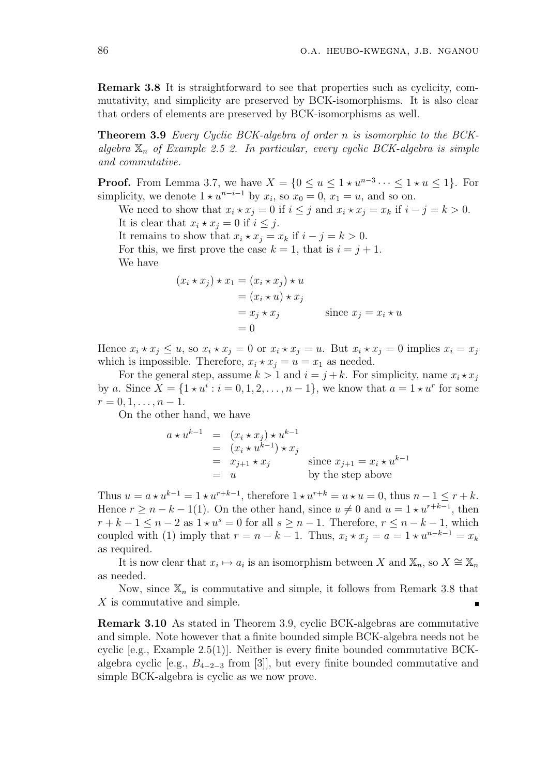Remark 3.8 It is straightforward to see that properties such as cyclicity, commutativity, and simplicity are preserved by BCK-isomorphisms. It is also clear that orders of elements are preserved by BCK-isomorphisms as well.

Theorem 3.9 Every Cyclic BCK-algebra of order n is isomorphic to the BCKalgebra  $\mathbb{X}_n$  of Example 2.5 2. In particular, every cyclic BCK-algebra is simple and commutative.

**Proof.** From Lemma 3.7, we have  $X = \{0 \le u \le 1 \star u^{n-3} \cdots \le 1 \star u \le 1\}$ . For simplicity, we denote  $1 \star u^{n-i-1}$  by  $x_i$ , so  $x_0 = 0$ ,  $x_1 = u$ , and so on.

We need to show that  $x_i \star x_j = 0$  if  $i \leq j$  and  $x_i \star x_j = x_k$  if  $i - j = k > 0$ . It is clear that  $x_i \star x_j = 0$  if  $i \leq j$ .

It remains to show that  $x_i \star x_j = x_k$  if  $i - j = k > 0$ .

For this, we first prove the case  $k = 1$ , that is  $i = j + 1$ . We have

$$
(x_i \star x_j) \star x_1 = (x_i \star x_j) \star u
$$
  
=  $(x_i \star u) \star x_j$   
=  $x_j \star x_j$  since  $x_j = x_i \star u$   
= 0

Hence  $x_i \star x_j \leq u$ , so  $x_i \star x_j = 0$  or  $x_i \star x_j = u$ . But  $x_i \star x_j = 0$  implies  $x_i = x_j$ which is impossible. Therefore,  $x_i \star x_j = u = x_1$  as needed.

For the general step, assume  $k > 1$  and  $i = j + k$ . For simplicity, name  $x_i \star x_j$ by a. Since  $X = \{1 \star u^{i} : i = 0, 1, 2, \ldots, n-1\}$ , we know that  $a = 1 \star u^{r}$  for some  $r = 0, 1, \ldots, n - 1.$ 

On the other hand, we have

$$
a \star u^{k-1} = (x_i \star x_j) \star u^{k-1}
$$
  
=  $(x_i \star u^{k-1}) \star x_j$   
=  $x_{j+1} \star x_j$  since  $x_{j+1} = x_i \star u^{k-1}$   
=  $u$  by the step above

Thus  $u = a \star u^{k-1} = 1 \star u^{r+k-1}$ , therefore  $1 \star u^{r+k} = u \star u = 0$ , thus  $n-1 \le r+k$ . Hence  $r \ge n - k - 1(1)$ . On the other hand, since  $u \ne 0$  and  $u = 1 \star u^{r+k-1}$ , then  $r + k - 1 \leq n - 2$  as  $1 \star u^s = 0$  for all  $s \geq n - 1$ . Therefore,  $r \leq n - k - 1$ , which coupled with (1) imply that  $r = n - k - 1$ . Thus,  $x_i \star x_j = a = 1 \star u^{n-k-1} = x_k$ as required.

It is now clear that  $x_i \mapsto a_i$  is an isomorphism between X and  $\mathbb{X}_n$ , so  $X \cong \mathbb{X}_n$ as needed.

Now, since  $\mathbb{X}_n$  is commutative and simple, it follows from Remark 3.8 that X is commutative and simple.

Remark 3.10 As stated in Theorem 3.9, cyclic BCK-algebras are commutative and simple. Note however that a finite bounded simple BCK-algebra needs not be cyclic  $[e.g., Example 2.5(1)]$ . Neither is every finite bounded commutative BCKalgebra cyclic [e.g.,  $B_{4-2-3}$  from [3]], but every finite bounded commutative and simple BCK-algebra is cyclic as we now prove.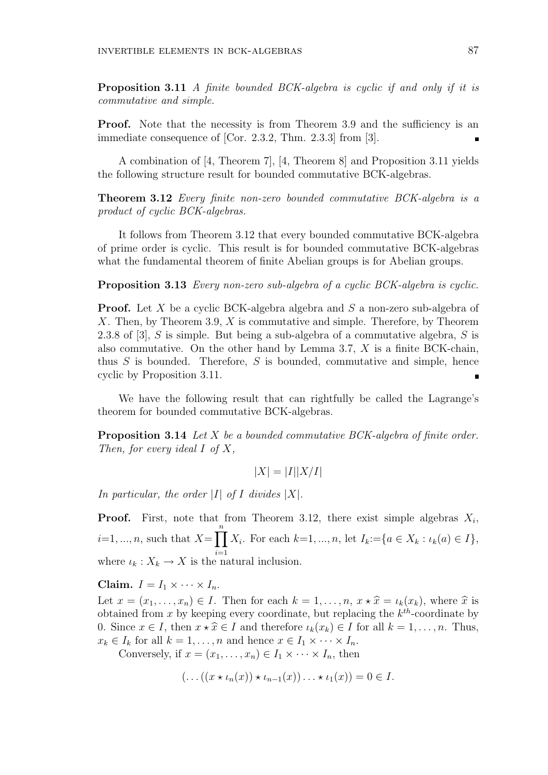Proposition 3.11 A finite bounded BCK-algebra is cyclic if and only if it is commutative and simple.

**Proof.** Note that the necessity is from Theorem 3.9 and the sufficiency is an immediate consequence of [Cor. 2.3.2, Thm. 2.3.3] from [3].

A combination of [4, Theorem 7], [4, Theorem 8] and Proposition 3.11 yields the following structure result for bounded commutative BCK-algebras.

Theorem 3.12 Every finite non-zero bounded commutative BCK-algebra is a product of cyclic BCK-algebras.

It follows from Theorem 3.12 that every bounded commutative BCK-algebra of prime order is cyclic. This result is for bounded commutative BCK-algebras what the fundamental theorem of finite Abelian groups is for Abelian groups.

Proposition 3.13 Every non-zero sub-algebra of a cyclic BCK-algebra is cyclic.

**Proof.** Let X be a cyclic BCK-algebra algebra and S a non-zero sub-algebra of X. Then, by Theorem 3.9, X is commutative and simple. Therefore, by Theorem 2.3.8 of [3], S is simple. But being a sub-algebra of a commutative algebra, S is also commutative. On the other hand by Lemma 3.7, X is a finite BCK-chain, thus  $S$  is bounded. Therefore,  $S$  is bounded, commutative and simple, hence cyclic by Proposition 3.11.

We have the following result that can rightfully be called the Lagrange's theorem for bounded commutative BCK-algebras.

Proposition 3.14 Let X be a bounded commutative BCK-algebra of finite order. Then, for every ideal  $I$  of  $X$ ,

$$
|X| = |I||X/I|
$$

In particular, the order |I| of I divides  $|X|$ .

**Proof.** First, note that from Theorem 3.12, there exist simple algebras  $X_i$ ,  $i=1, ..., n$ , such that  $X=$  $\frac{n}{\sqrt{2}}$ where  $\iota_k: X_k \to X$  is the natural inclusion.  $X_i$ . For each  $k=1, ..., n$ , let  $I_k:=\{a \in X_k : \iota_k(a) \in I\},\$ 

Claim.  $I = I_1 \times \cdots \times I_n$ .

Let  $x = (x_1, \ldots, x_n) \in I$ . Then for each  $k = 1, \ldots, n$ ,  $x \star \hat{x} = \iota_k(x_k)$ , where  $\hat{x}$  is obtained from x by keeping every coordinate, but replacing the  $k^{th}$ -coordinate by 0. Since  $x \in I$ , then  $x \star \hat{x} \in I$  and therefore  $\iota_k(x_k) \in I$  for all  $k = 1, \ldots, n$ . Thus,  $x_k \in I_k$  for all  $k = 1, \ldots, n$  and hence  $x \in I_1 \times \cdots \times I_n$ .

Conversely, if  $x = (x_1, \ldots, x_n) \in I_1 \times \cdots \times I_n$ , then

$$
(\ldots((x \star \iota_n(x)) \star \iota_{n-1}(x)) \ldots \star \iota_1(x)) = 0 \in I.
$$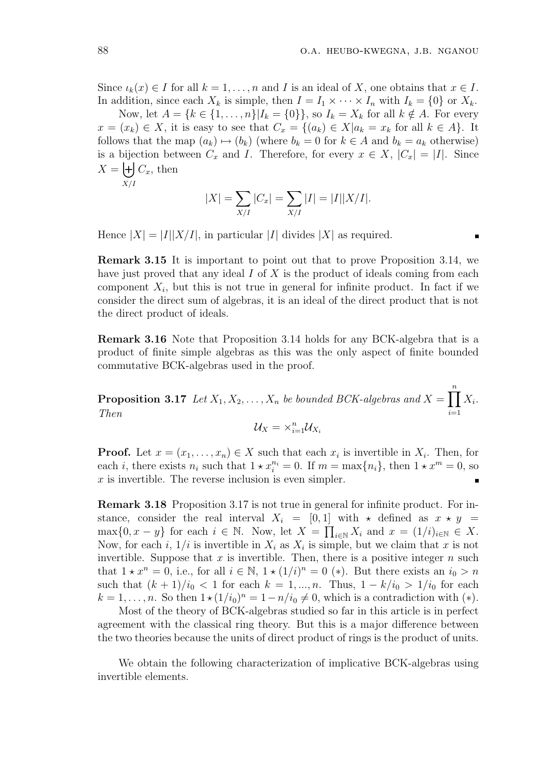Since  $\iota_k(x) \in I$  for all  $k = 1, \ldots, n$  and I is an ideal of X, one obtains that  $x \in I$ . In addition, since each  $X_k$  is simple, then  $I = I_1 \times \cdots \times I_n$  with  $I_k = \{0\}$  or  $X_k$ .

Now, let  $A = \{k \in \{1, \ldots, n\} | I_k = \{0\}\}\$ , so  $I_k = X_k$  for all  $k \notin A$ . For every  $x = (x_k) \in X$ , it is easy to see that  $C_x = \{(a_k) \in X | a_k = x_k \text{ for all } k \in A\}$ . It follows that the map  $(a_k) \mapsto (b_k)$  (where  $b_k = 0$  for  $k \in A$  and  $b_k = a_k$  otherwise) is a bijection between  $C_x$  and I. Therefore, for every  $x \in X$ ,  $|C_x| = |I|$ . Since  $X =$  $C_x$ , then

$$
X/I
$$

$$
|X| = \sum_{X/I} |C_x| = \sum_{X/I} |I| = |I||X/I|.
$$

Hence  $|X| = |I||X/I|$ , in particular |I| divides |X| as required.

Remark 3.15 It is important to point out that to prove Proposition 3.14, we have just proved that any ideal  $I$  of  $X$  is the product of ideals coming from each component  $X_i$ , but this is not true in general for infinite product. In fact if we consider the direct sum of algebras, it is an ideal of the direct product that is not the direct product of ideals.

Remark 3.16 Note that Proposition 3.14 holds for any BCK-algebra that is a product of finite simple algebras as this was the only aspect of finite bounded commutative BCK-algebras used in the proof.

**Proposition 3.17** Let  $X_1, X_2, \ldots, X_n$  be bounded BCK-algebras and  $X =$  $\frac{n}{\sqrt{2}}$  $i=1$  $X_i$ . Then

$$
\mathcal{U}_X = \times_{i=1}^n \mathcal{U}_{X_i}
$$

**Proof.** Let  $x = (x_1, \ldots, x_n) \in X$  such that each  $x_i$  is invertible in  $X_i$ . Then, for each *i*, there exists  $n_i$  such that  $1 \star x_i^{n_i} = 0$ . If  $m = \max\{n_i\}$ , then  $1 \star x^m = 0$ , so  $x$  is invertible. The reverse inclusion is even simpler.  $\blacksquare$ 

Remark 3.18 Proposition 3.17 is not true in general for infinite product. For instance, consider the real interval  $X_i = [0, 1]$  with  $\star$  defined as  $x \star y =$  $\max\{0, x - y\}$  for each  $i \in \mathbb{N}$ . Now, let  $X = \prod_{i \in \mathbb{N}} X_i$  and  $x = (1/i)_{i \in \mathbb{N}} \in X$ . Now, for each i,  $1/i$  is invertible in  $X_i$  as  $X_i$  is simple, but we claim that x is not invertible. Suppose that  $x$  is invertible. Then, there is a positive integer  $n$  such that  $1 \star x^n = 0$ , i.e., for all  $i \in \mathbb{N}$ ,  $1 \star (1/i)^n = 0$  (\*). But there exists an  $i_0 > n$ such that  $(k + 1)/i_0 < 1$  for each  $k = 1, ..., n$ . Thus,  $1 - k/i_0 > 1/i_0$  for each  $k = 1, \ldots, n$ . So then  $1 \star (1/i_0)^n = 1 - n/i_0 \neq 0$ , which is a contradiction with  $(*)$ .

Most of the theory of BCK-algebras studied so far in this article is in perfect agreement with the classical ring theory. But this is a major difference between the two theories because the units of direct product of rings is the product of units.

We obtain the following characterization of implicative BCK-algebras using invertible elements.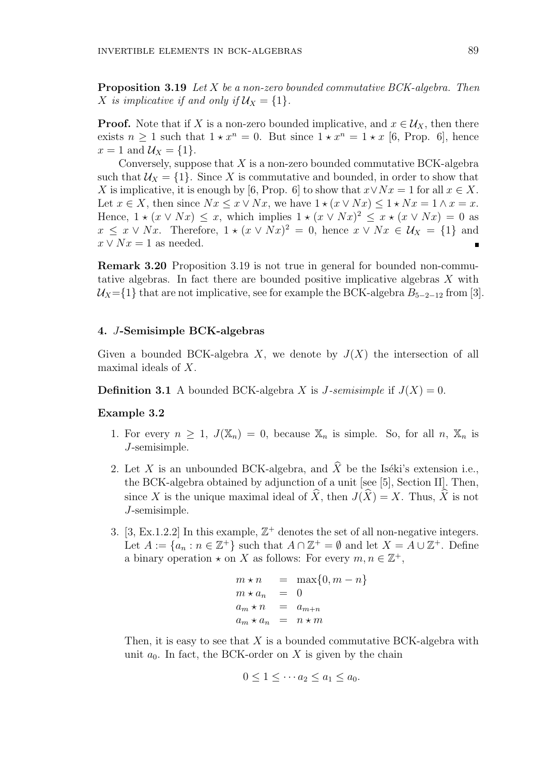**Proposition 3.19** Let  $X$  be a non-zero bounded commutative BCK-algebra. Then X is implicative if and only if  $U_X = \{1\}.$ 

**Proof.** Note that if X is a non-zero bounded implicative, and  $x \in \mathcal{U}_X$ , then there exists  $n \geq 1$  such that  $1 \star x^n = 0$ . But since  $1 \star x^n = 1 \star x$  [6, Prop. 6], hence  $x = 1$  and  $U_X = \{1\}.$ 

Conversely, suppose that  $X$  is a non-zero bounded commutative BCK-algebra such that  $\mathcal{U}_X = \{1\}$ . Since X is commutative and bounded, in order to show that X is implicative, it is enough by [6, Prop. 6] to show that  $x \vee Nx = 1$  for all  $x \in X$ . Let  $x \in X$ , then since  $Nx \leq x \vee Nx$ , we have  $1 \star (x \vee Nx) \leq 1 \star Nx = 1 \wedge x = x$ . Hence,  $1 \star (x \vee Nx) \leq x$ , which implies  $1 \star (x \vee Nx)^2 \leq x \star (x \vee Nx) = 0$  as  $x \leq x \vee Nx$ . Therefore,  $1 \star (x \vee Nx)^2 = 0$ , hence  $x \vee Nx \in \mathcal{U}_X = \{1\}$  and  $x \vee Nx = 1$  as needed.  $\blacksquare$ 

Remark 3.20 Proposition 3.19 is not true in general for bounded non-commutative algebras. In fact there are bounded positive implicative algebras X with  $U_X=\{1\}$  that are not implicative, see for example the BCK-algebra  $B_{5-2-12}$  from [3].

# 4. J-Semisimple BCK-algebras

Given a bounded BCK-algebra X, we denote by  $J(X)$  the intersection of all maximal ideals of X.

**Definition 3.1** A bounded BCK-algebra X is J-semisimple if  $J(X) = 0$ .

### Example 3.2

- 1. For every  $n \geq 1$ ,  $J(\mathbb{X}_n) = 0$ , because  $\mathbb{X}_n$  is simple. So, for all n,  $\mathbb{X}_n$  is J-semisimple.
- 2. Let X is an unbounded BCK-algebra, and  $\hat{X}$  be the Iséki's extension i.e., the BCK-algebra obtained by adjunction of a unit [see [5], Section II]. Then, since X is the unique maximal ideal of  $\widehat{X}$ , then  $J(\widehat{X}) = X$ . Thus,  $\widehat{X}$  is not J-semisimple.
- 3. [3, Ex.1.2.2] In this example,  $\mathbb{Z}^+$  denotes the set of all non-negative integers. Let  $A := \{a_n : n \in \mathbb{Z}^+\}$  such that  $A \cap \mathbb{Z}^+ = \emptyset$  and let  $X = A \cup \mathbb{Z}^+$ . Define a binary operation  $\star$  on X as follows: For every  $m, n \in \mathbb{Z}^+$ ,

$$
m \star n = \max\{0, m - n\}
$$
  
\n
$$
m \star a_n = 0
$$
  
\n
$$
a_m \star n = a_{m+n}
$$
  
\n
$$
a_m \star a_n = n \star m
$$

Then, it is easy to see that  $X$  is a bounded commutative BCK-algebra with unit  $a_0$ . In fact, the BCK-order on X is given by the chain

$$
0 \leq 1 \leq \cdots a_2 \leq a_1 \leq a_0.
$$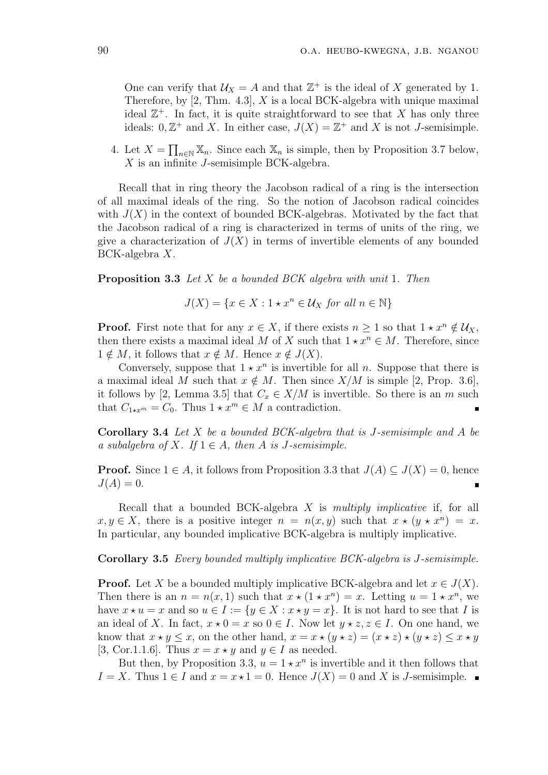One can verify that  $\mathcal{U}_X = A$  and that  $\mathbb{Z}^+$  is the ideal of X generated by 1. Therefore, by  $[2, Thm. 4.3], X$  is a local BCK-algebra with unique maximal ideal  $\mathbb{Z}^+$ . In fact, it is quite straightforward to see that X has only three ideals:  $0, \mathbb{Z}^+$  and X. In either case,  $J(X) = \mathbb{Z}^+$  and X is not J-semisimple.

4. Let  $X =$  $\overline{a}$  $n \in \mathbb{N}$  X<sub>n</sub>. Since each X<sub>n</sub> is simple, then by Proposition 3.7 below, X is an infinite J-semisimple BCK-algebra.

Recall that in ring theory the Jacobson radical of a ring is the intersection of all maximal ideals of the ring. So the notion of Jacobson radical coincides with  $J(X)$  in the context of bounded BCK-algebras. Motivated by the fact that the Jacobson radical of a ring is characterized in terms of units of the ring, we give a characterization of  $J(X)$  in terms of invertible elements of any bounded BCK-algebra X.

Proposition 3.3 Let X be a bounded BCK algebra with unit 1. Then

$$
J(X) = \{ x \in X : 1 \star x^n \in \mathcal{U}_X \text{ for all } n \in \mathbb{N} \}
$$

**Proof.** First note that for any  $x \in X$ , if there exists  $n \geq 1$  so that  $1 \star x^n \notin \mathcal{U}_X$ , then there exists a maximal ideal M of X such that  $1 \star x^n \in M$ . Therefore, since  $1 \notin M$ , it follows that  $x \notin M$ . Hence  $x \notin J(X)$ .

Conversely, suppose that  $1 \star x^n$  is invertible for all n. Suppose that there is a maximal ideal M such that  $x \notin M$ . Then since  $X/M$  is simple [2, Prop. 3.6], it follows by [2, Lemma 3.5] that  $C_x \in X/M$  is invertible. So there is an m such that  $C_{1 \star x^m} = C_0$ . Thus  $1 \star x^m \in M$  a contradiction.

**Corollary 3.4** Let  $X$  be a bounded BCK-algebra that is J-semisimple and  $A$  be a subalgebra of X. If  $1 \in A$ , then A is J-semisimple.

**Proof.** Since  $1 \in A$ , it follows from Proposition 3.3 that  $J(A) \subseteq J(X) = 0$ , hence  $J(A) = 0.$ 

Recall that a bounded BCK-algebra  $X$  is multiply implicative if, for all  $x, y \in X$ , there is a positive integer  $n = n(x, y)$  such that  $x \star (y \star x^n) = x$ . In particular, any bounded implicative BCK-algebra is multiply implicative.

Corollary 3.5 Every bounded multiply implicative BCK-algebra is J-semisimple.

**Proof.** Let X be a bounded multiply implicative BCK-algebra and let  $x \in J(X)$ . Then there is an  $n = n(x, 1)$  such that  $x \star (1 \star x^n) = x$ . Letting  $u = 1 \star x^n$ , we have  $x \star u = x$  and so  $u \in I := \{y \in X : x \star y = x\}$ . It is not hard to see that I is an ideal of X. In fact,  $x \star 0 = x$  so  $0 \in I$ . Now let  $y \star z, z \in I$ . On one hand, we know that  $x \star y \leq x$ , on the other hand,  $x = x \star (y \star z) = (x \star z) \star (y \star z) \leq x \star y$ [3, Cor.1.1.6]. Thus  $x = x \star y$  and  $y \in I$  as needed.

But then, by Proposition 3.3,  $u = 1 \star x^n$  is invertible and it then follows that  $I = X$ . Thus 1 ∈ I and  $x = x \star 1 = 0$ . Hence  $J(X) = 0$  and X is J-semisimple.  $\blacksquare$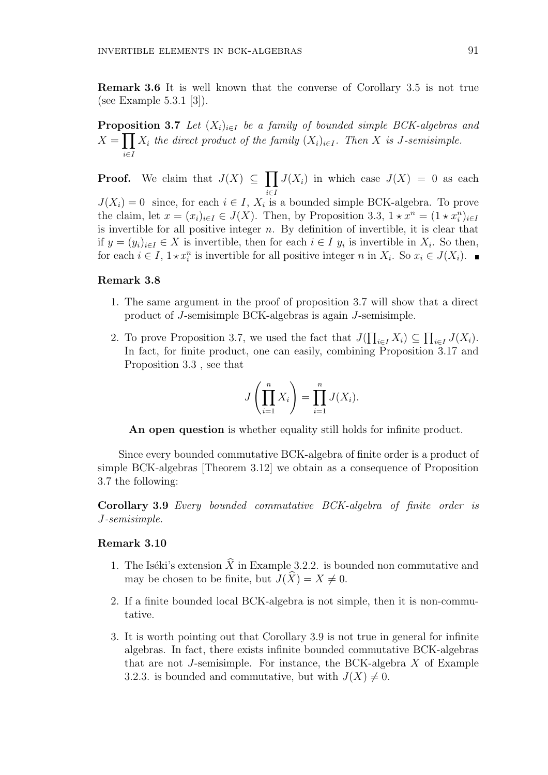Remark 3.6 It is well known that the converse of Corollary 3.5 is not true (see Example 5.3.1 [3]).

**Proposition 3.7** Let  $(X_i)_{i \in I}$  be a family of bounded simple BCK-algebras and  $X =$ i∈I  $X_i$  the direct product of the family  $(X_i)_{i\in I}$ . Then X is J-semisimple.

**Proof.** We claim that  $J(X) \subseteq$  $\overline{v}$ i∈I  $J(X_i)$  in which case  $J(X) = 0$  as each  $J(X_i) = 0$  since, for each  $i \in I$ ,  $X_i$  is a bounded simple BCK-algebra. To prove the claim, let  $x = (x_i)_{i \in I} \in J(X)$ . Then, by Proposition 3.3,  $1 \star x^n = (1 \star x_i^n)_{i \in I}$ is invertible for all positive integer  $n$ . By definition of invertible, it is clear that if  $y = (y_i)_{i \in I}$  ∈ X is invertible, then for each  $i \in I$   $y_i$  is invertible in  $X_i$ . So then, for each  $i \in I$ ,  $1 \star x_i^n$  is invertible for all positive integer n in  $X_i$ . So  $x_i \in J(X_i)$ .

### Remark 3.8

- 1. The same argument in the proof of proposition 3.7 will show that a direct product of J-semisimple BCK-algebras is again J-semisimple.
- 2. To prove Proposition 3.7, we used the fact that  $J($  $\overline{a}$  $_{i\in I} X_i) \subseteq$  $\overline{a}$  $_{i\in I}$   $J(X_i)$ . In fact, for finite product, one can easily, combining Proposition 3.17 and Proposition 3.3 , see that

$$
J\left(\prod_{i=1}^n X_i\right) = \prod_{i=1}^n J(X_i).
$$

An open question is whether equality still holds for infinite product.

Since every bounded commutative BCK-algebra of finite order is a product of simple BCK-algebras [Theorem 3.12] we obtain as a consequence of Proposition 3.7 the following:

Corollary 3.9 Every bounded commutative BCK-algebra of finite order is J-semisimple.

### Remark 3.10

- 1. The Iséki's extension  $\widehat{X}$  in Example 3.2.2. is bounded non commutative and may be chosen to be finite, but  $J(\widehat{X}) = X \neq 0$ .
- 2. If a finite bounded local BCK-algebra is not simple, then it is non-commutative.
- 3. It is worth pointing out that Corollary 3.9 is not true in general for infinite algebras. In fact, there exists infinite bounded commutative BCK-algebras that are not J-semisimple. For instance, the BCK-algebra  $X$  of Example 3.2.3. is bounded and commutative, but with  $J(X) \neq 0$ .